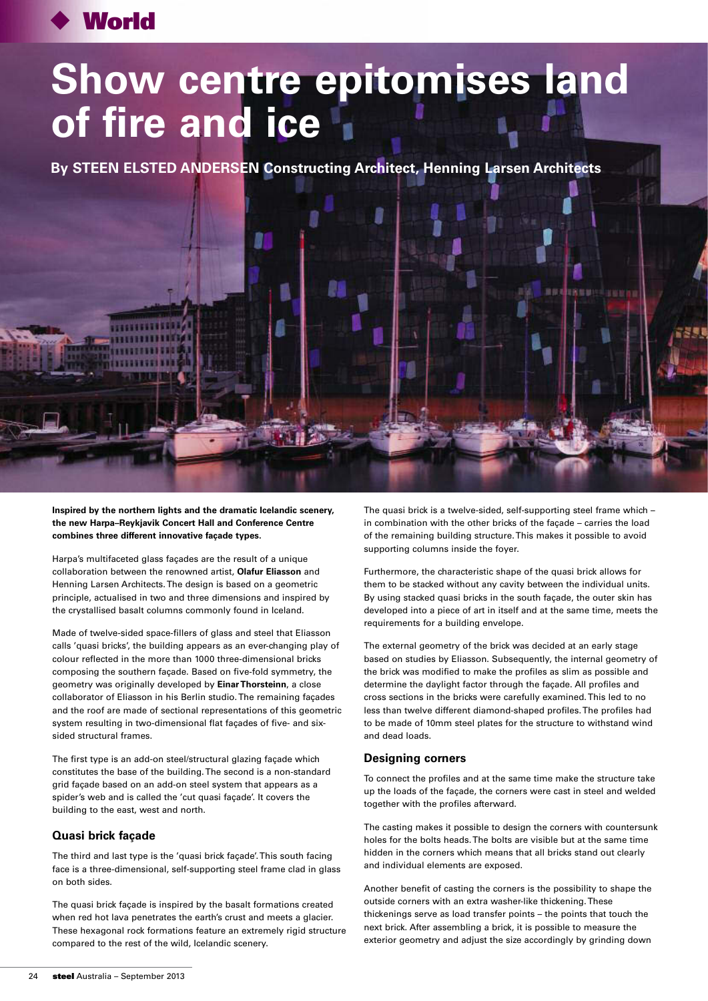## **World**

# **Show centre epitomises land of fire and ice**

**By STEEN ELSTED ANDERSEN Constructing Architect, Henning Larsen Architects**

**Inspired by the northern lights and the dramatic Icelandic scenery, the new Harpa–Reykjavik Concert Hall and Conference Centre combines three different innovative façade types.**

Harpa's multifaceted glass façades are the result of a unique collaboration between the renowned artist, **Olafur Eliasson** and Henning Larsen Architects. The design is based on a geometric principle, actualised in two and three dimensions and inspired by the crystallised basalt columns commonly found in Iceland.

Made of twelve-sided space-fillers of glass and steel that Eliasson calls 'quasi bricks', the building appears as an ever-changing play of colour reflected in the more than 1000 three-dimensional bricks composing the southern façade. Based on five-fold symmetry, the geometry was originally developed by **Einar Thorsteinn**, a close collaborator of Eliasson in his Berlin studio. The remaining façades and the roof are made of sectional representations of this geometric system resulting in two-dimensional flat façades of five- and sixsided structural frames.

The first type is an add-on steel/structural glazing façade which constitutes the base of the building. The second is a non-standard grid façade based on an add-on steel system that appears as a spider's web and is called the 'cut quasi façade'. It covers the building to the east, west and north.

#### **Quasi brick façade**

The third and last type is the 'quasi brick façade'. This south facing face is a three-dimensional, self-supporting steel frame clad in glass on both sides.

The quasi brick façade is inspired by the basalt formations created when red hot lava penetrates the earth's crust and meets a glacier. These hexagonal rock formations feature an extremely rigid structure compared to the rest of the wild, Icelandic scenery.

The quasi brick is a twelve-sided, self-supporting steel frame which – in combination with the other bricks of the façade – carries the load of the remaining building structure. This makes it possible to avoid supporting columns inside the foyer.

Furthermore, the characteristic shape of the quasi brick allows for them to be stacked without any cavity between the individual units. By using stacked quasi bricks in the south façade, the outer skin has developed into a piece of art in itself and at the same time, meets the requirements for a building envelope.

The external geometry of the brick was decided at an early stage based on studies by Eliasson. Subsequently, the internal geometry of the brick was modified to make the profiles as slim as possible and determine the daylight factor through the façade. All profiles and cross sections in the bricks were carefully examined. This led to no less than twelve different diamond-shaped profiles. The profiles had to be made of 10mm steel plates for the structure to withstand wind and dead loads.

#### **Designing corners**

To connect the profiles and at the same time make the structure take up the loads of the façade, the corners were cast in steel and welded together with the profiles afterward.

The casting makes it possible to design the corners with countersunk holes for the bolts heads. The bolts are visible but at the same time hidden in the corners which means that all bricks stand out clearly and individual elements are exposed.

Another benefit of casting the corners is the possibility to shape the outside corners with an extra washer-like thickening. These thickenings serve as load transfer points – the points that touch the next brick. After assembling a brick, it is possible to measure the exterior geometry and adjust the size accordingly by grinding down